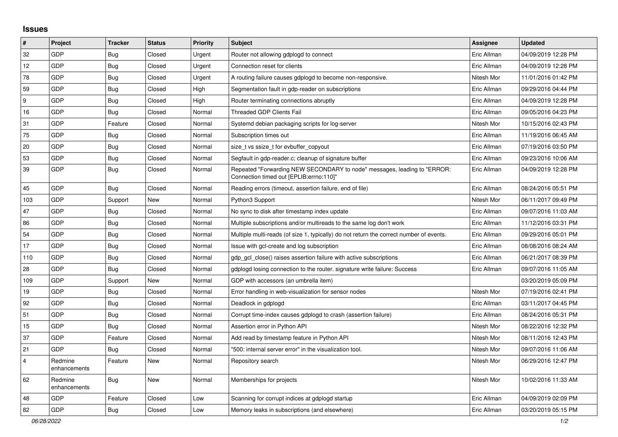## **Issues**

| $\vert$ #      | Project                 | <b>Tracker</b> | <b>Status</b> | Priority | Subject                                                                                                             | <b>Assignee</b> | <b>Updated</b>      |
|----------------|-------------------------|----------------|---------------|----------|---------------------------------------------------------------------------------------------------------------------|-----------------|---------------------|
| 32             | GDP                     | Bug            | Closed        | Urgent   | Router not allowing gdplogd to connect                                                                              | Eric Allman     | 04/09/2019 12:28 PM |
| 12             | GDP                     | <b>Bug</b>     | Closed        | Urgent   | Connection reset for clients                                                                                        | Eric Allman     | 04/09/2019 12:28 PM |
| 78             | GDP                     | Bug            | Closed        | Urgent   | A routing failure causes gdplogd to become non-responsive.                                                          | Nitesh Mor      | 11/01/2016 01:42 PM |
| 59             | GDP                     | <b>Bug</b>     | Closed        | High     | Segmentation fault in gdp-reader on subscriptions                                                                   | Eric Allman     | 09/29/2016 04:44 PM |
| 9              | GDP                     | Bug            | Closed        | High     | Router terminating connections abruptly                                                                             | Eric Allman     | 04/09/2019 12:28 PM |
| 16             | GDP                     | <b>Bug</b>     | Closed        | Normal   | <b>Threaded GDP Clients Fail</b>                                                                                    | Eric Allman     | 09/05/2016 04:23 PM |
| 31             | GDP                     | Feature        | Closed        | Normal   | Systemd debian packaging scripts for log-server                                                                     | Nitesh Mor      | 10/15/2016 02:43 PM |
| 75             | GDP                     | <b>Bug</b>     | Closed        | Normal   | Subscription times out                                                                                              | Eric Allman     | 11/19/2016 06:45 AM |
| 20             | GDP                     | <b>Bug</b>     | Closed        | Normal   | size t vs ssize t for evbuffer copyout                                                                              | Eric Allman     | 07/19/2016 03:50 PM |
| 53             | GDP                     | <b>Bug</b>     | Closed        | Normal   | Segfault in gdp-reader.c; cleanup of signature buffer                                                               | Eric Allman     | 09/23/2016 10:06 AM |
| 39             | GDP                     | Bug            | Closed        | Normal   | Repeated "Forwarding NEW SECONDARY to node" messages, leading to "ERROR:<br>Connection timed out [EPLIB:errno:110]" | Eric Allman     | 04/09/2019 12:28 PM |
| 45             | GDP                     | Bug            | Closed        | Normal   | Reading errors (timeout, assertion failure, end of file)                                                            | Eric Allman     | 08/24/2016 05:51 PM |
| 103            | <b>GDP</b>              | Support        | New           | Normal   | Python3 Support                                                                                                     | Nitesh Mor      | 06/11/2017 09:49 PM |
| 47             | GDP                     | Bug            | Closed        | Normal   | No sync to disk after timestamp index update                                                                        | Eric Allman     | 09/07/2016 11:03 AM |
| 86             | GDP                     | Bug            | Closed        | Normal   | Multiple subscriptions and/or multireads to the same log don't work                                                 | Eric Allman     | 11/12/2016 03:31 PM |
| 54             | GDP                     | Bug            | Closed        | Normal   | Multiple multi-reads (of size 1, typically) do not return the correct number of events.                             | Eric Allman     | 09/29/2016 05:01 PM |
| 17             | GDP                     | <b>Bug</b>     | Closed        | Normal   | Issue with gcl-create and log subscription                                                                          | Eric Allman     | 08/08/2016 08:24 AM |
| 110            | GDP                     | <b>Bug</b>     | Closed        | Normal   | gdp gcl close() raises assertion failure with active subscriptions                                                  | Eric Allman     | 06/21/2017 08:39 PM |
| 28             | GDP                     | Bug            | Closed        | Normal   | gdplogd losing connection to the router, signature write failure: Success                                           | Eric Allman     | 09/07/2016 11:05 AM |
| 109            | GDP                     | Support        | New           | Normal   | GDP with accessors (an umbrella item)                                                                               |                 | 03/20/2019 05:09 PM |
| 19             | GDP                     | <b>Bug</b>     | Closed        | Normal   | Error handling in web-visualization for sensor nodes                                                                | Nitesh Mor      | 07/19/2016 02:41 PM |
| 92             | GDP                     | <b>Bug</b>     | Closed        | Normal   | Deadlock in gdplogd                                                                                                 | Eric Allman     | 03/11/2017 04:45 PM |
| 51             | GDP                     | <b>Bug</b>     | Closed        | Normal   | Corrupt time-index causes gdplogd to crash (assertion failure)                                                      | Eric Allman     | 08/24/2016 05:31 PM |
| 15             | GDP                     | Bug            | Closed        | Normal   | Assertion error in Python API                                                                                       | Nitesh Mor      | 08/22/2016 12:32 PM |
| 37             | GDP                     | Feature        | Closed        | Normal   | Add read by timestamp feature in Python API                                                                         | Nitesh Mor      | 08/11/2016 12:43 PM |
| 21             | GDP                     | Bug            | Closed        | Normal   | "500: internal server error" in the visualization tool.                                                             | Nitesh Mor      | 09/07/2016 11:06 AM |
| $\overline{4}$ | Redmine<br>enhancements | Feature        | New           | Normal   | Repository search                                                                                                   | Nitesh Mor      | 06/29/2016 12:47 PM |
| 62             | Redmine<br>enhancements | <b>Bug</b>     | New           | Normal   | Memberships for projects                                                                                            | Nitesh Mor      | 10/02/2016 11:33 AM |
| 48             | GDP                     | Feature        | Closed        | Low      | Scanning for corrupt indices at gdplogd startup                                                                     | Eric Allman     | 04/09/2019 02:09 PM |
| 82             | GDP                     | Bug            | Closed        | Low      | Memory leaks in subscriptions (and elsewhere)                                                                       | Eric Allman     | 03/20/2019 05:15 PM |